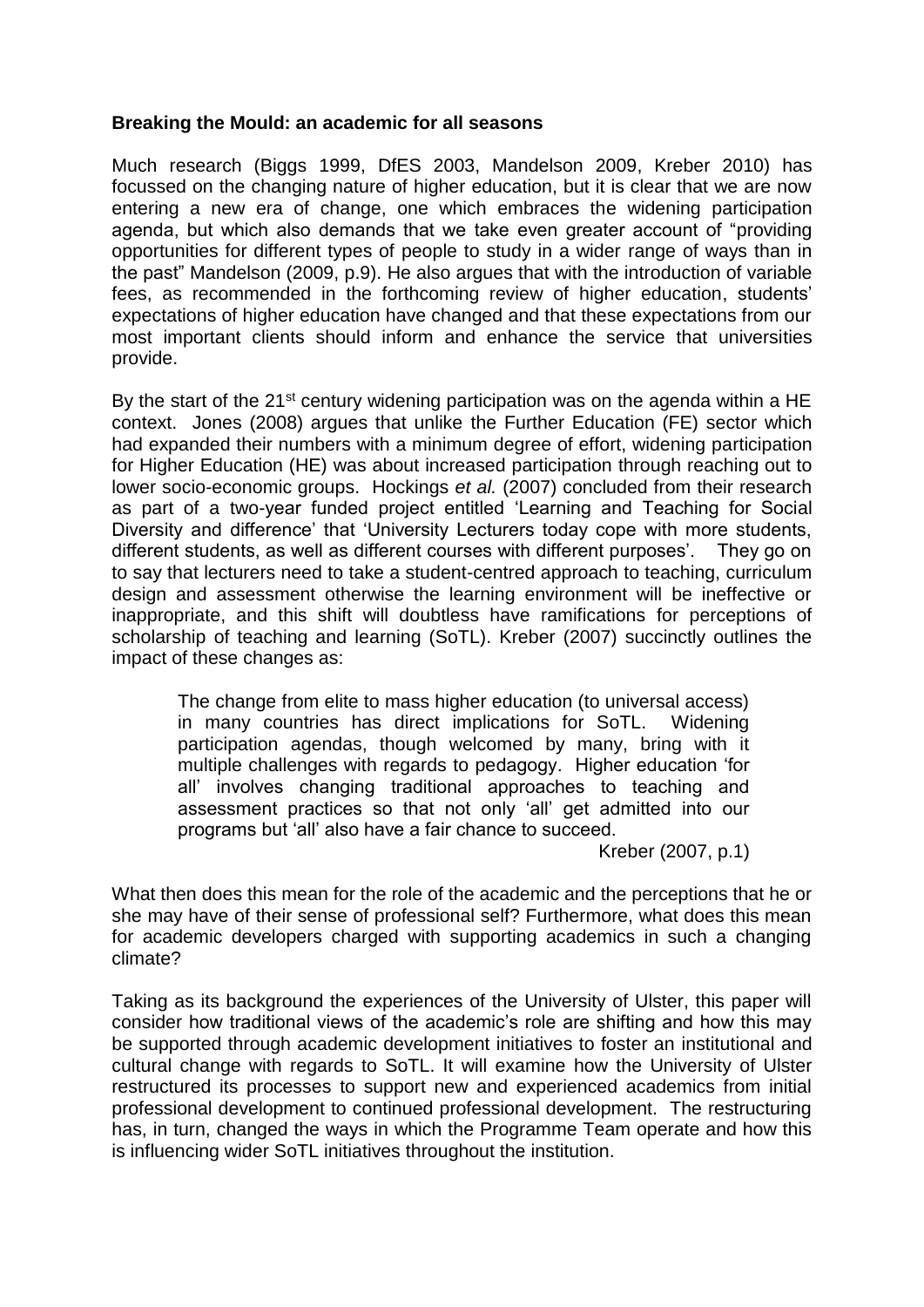#### **Breaking the Mould: an academic for all seasons**

Much research (Biggs 1999, DfES 2003, Mandelson 2009, Kreber 2010) has focussed on the changing nature of higher education, but it is clear that we are now entering a new era of change, one which embraces the widening participation agenda, but which also demands that we take even greater account of "providing opportunities for different types of people to study in a wider range of ways than in the past" Mandelson (2009, p.9). He also argues that with the introduction of variable fees, as recommended in the forthcoming review of higher education, students' expectations of higher education have changed and that these expectations from our most important clients should inform and enhance the service that universities provide.

By the start of the  $21^{st}$  century widening participation was on the agenda within a HE context. Jones (2008) argues that unlike the Further Education (FE) sector which had expanded their numbers with a minimum degree of effort, widening participation for Higher Education (HE) was about increased participation through reaching out to lower socio-economic groups. Hockings *et al.* (2007) concluded from their research as part of a two-year funded project entitled 'Learning and Teaching for Social Diversity and difference' that 'University Lecturers today cope with more students, different students, as well as different courses with different purposes'. They go on to say that lecturers need to take a student-centred approach to teaching, curriculum design and assessment otherwise the learning environment will be ineffective or inappropriate, and this shift will doubtless have ramifications for perceptions of scholarship of teaching and learning (SoTL). Kreber (2007) succinctly outlines the impact of these changes as:

The change from elite to mass higher education (to universal access) in many countries has direct implications for SoTL. Widening participation agendas, though welcomed by many, bring with it multiple challenges with regards to pedagogy. Higher education 'for all' involves changing traditional approaches to teaching and assessment practices so that not only 'all' get admitted into our programs but 'all' also have a fair chance to succeed.

Kreber (2007, p.1)

What then does this mean for the role of the academic and the perceptions that he or she may have of their sense of professional self? Furthermore, what does this mean for academic developers charged with supporting academics in such a changing climate?

Taking as its background the experiences of the University of Ulster, this paper will consider how traditional views of the academic's role are shifting and how this may be supported through academic development initiatives to foster an institutional and cultural change with regards to SoTL. It will examine how the University of Ulster restructured its processes to support new and experienced academics from initial professional development to continued professional development. The restructuring has, in turn, changed the ways in which the Programme Team operate and how this is influencing wider SoTL initiatives throughout the institution.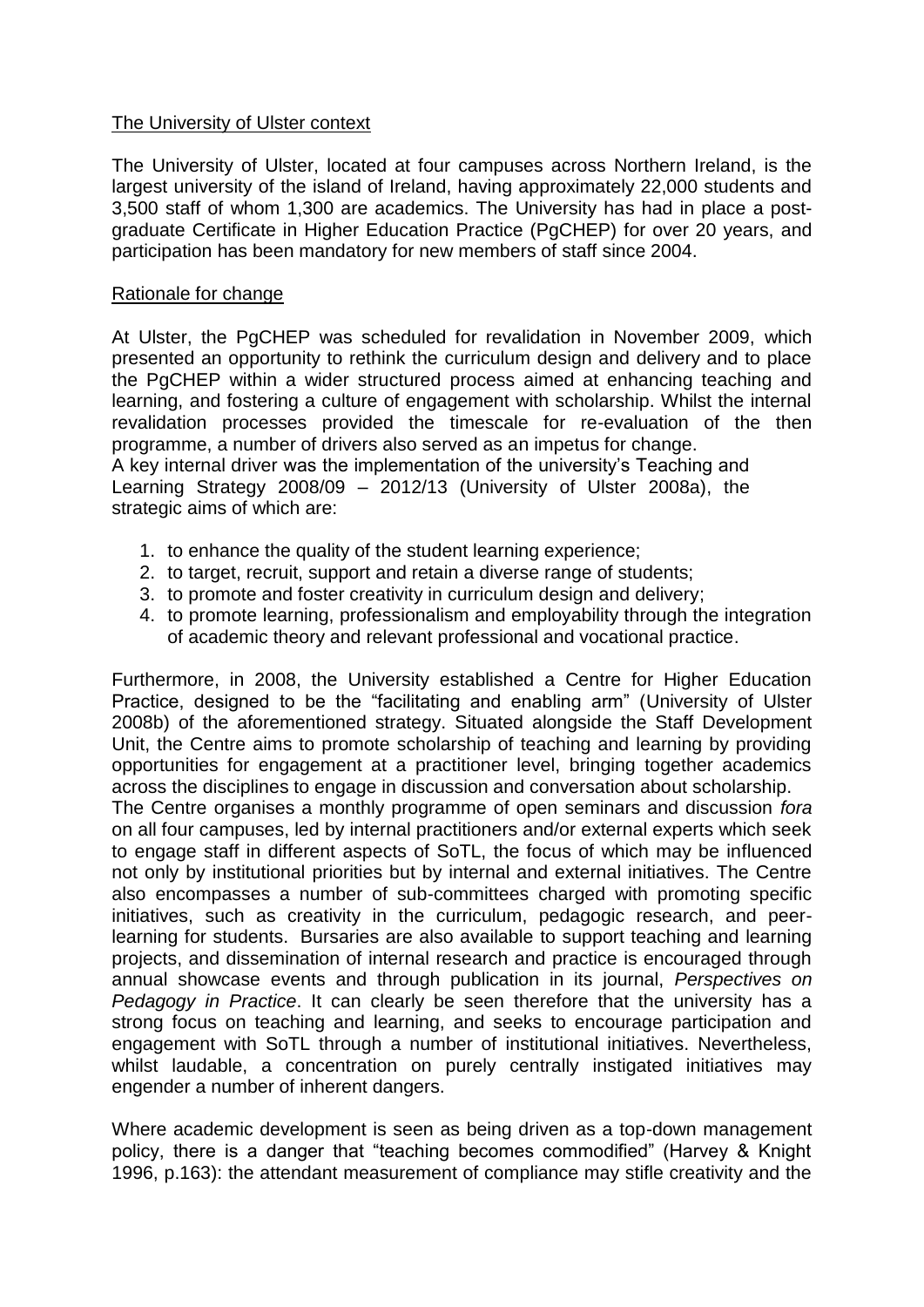# The University of Ulster context

The University of Ulster, located at four campuses across Northern Ireland, is the largest university of the island of Ireland, having approximately 22,000 students and 3,500 staff of whom 1,300 are academics. The University has had in place a postgraduate Certificate in Higher Education Practice (PgCHEP) for over 20 years, and participation has been mandatory for new members of staff since 2004.

#### Rationale for change

At Ulster, the PgCHEP was scheduled for revalidation in November 2009, which presented an opportunity to rethink the curriculum design and delivery and to place the PgCHEP within a wider structured process aimed at enhancing teaching and learning, and fostering a culture of engagement with scholarship. Whilst the internal revalidation processes provided the timescale for re-evaluation of the then programme, a number of drivers also served as an impetus for change. A key internal driver was the implementation of the university's Teaching and

Learning Strategy 2008/09 – 2012/13 (University of Ulster 2008a), the strategic aims of which are:

- 1. to enhance the quality of the student learning experience;
- 2. to target, recruit, support and retain a diverse range of students;
- 3. to promote and foster creativity in curriculum design and delivery;
- 4. to promote learning, professionalism and employability through the integration of academic theory and relevant professional and vocational practice.

Furthermore, in 2008, the University established a Centre for Higher Education Practice, designed to be the "facilitating and enabling arm" (University of Ulster 2008b) of the aforementioned strategy. Situated alongside the Staff Development Unit, the Centre aims to promote scholarship of teaching and learning by providing opportunities for engagement at a practitioner level, bringing together academics across the disciplines to engage in discussion and conversation about scholarship. The Centre organises a monthly programme of open seminars and discussion *fora*  on all four campuses, led by internal practitioners and/or external experts which seek to engage staff in different aspects of SoTL, the focus of which may be influenced not only by institutional priorities but by internal and external initiatives. The Centre also encompasses a number of sub-committees charged with promoting specific initiatives, such as creativity in the curriculum, pedagogic research, and peerlearning for students. Bursaries are also available to support teaching and learning projects, and dissemination of internal research and practice is encouraged through annual showcase events and through publication in its journal, *Perspectives on Pedagogy in Practice*. It can clearly be seen therefore that the university has a strong focus on teaching and learning, and seeks to encourage participation and engagement with SoTL through a number of institutional initiatives. Nevertheless, whilst laudable, a concentration on purely centrally instigated initiatives may engender a number of inherent dangers.

Where academic development is seen as being driven as a top-down management policy, there is a danger that "teaching becomes commodified" (Harvey & Knight 1996, p.163): the attendant measurement of compliance may stifle creativity and the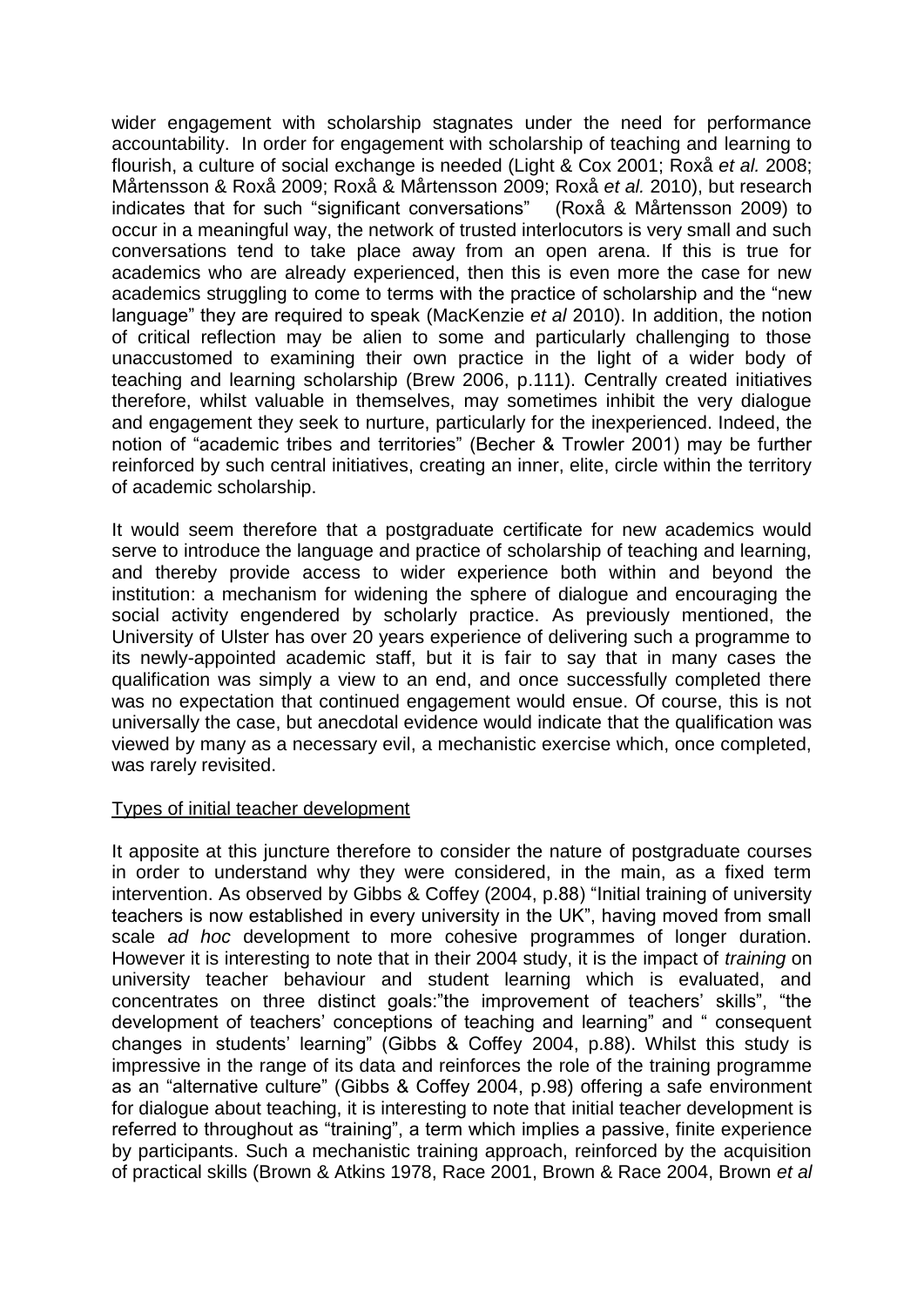wider engagement with scholarship stagnates under the need for performance accountability. In order for engagement with scholarship of teaching and learning to flourish, a culture of social exchange is needed (Light & Cox 2001; Roxå *et al.* 2008; Mårtensson & Roxå 2009; Roxå & Mårtensson 2009; Roxå *et al.* 2010), but research indicates that for such "significant conversations" (Roxå & Mårtensson 2009) to occur in a meaningful way, the network of trusted interlocutors is very small and such conversations tend to take place away from an open arena. If this is true for academics who are already experienced, then this is even more the case for new academics struggling to come to terms with the practice of scholarship and the "new language" they are required to speak (MacKenzie *et al* 2010). In addition, the notion of critical reflection may be alien to some and particularly challenging to those unaccustomed to examining their own practice in the light of a wider body of teaching and learning scholarship (Brew 2006, p.111). Centrally created initiatives therefore, whilst valuable in themselves, may sometimes inhibit the very dialogue and engagement they seek to nurture, particularly for the inexperienced. Indeed, the notion of "academic tribes and territories" (Becher & Trowler 2001) may be further reinforced by such central initiatives, creating an inner, elite, circle within the territory of academic scholarship.

It would seem therefore that a postgraduate certificate for new academics would serve to introduce the language and practice of scholarship of teaching and learning, and thereby provide access to wider experience both within and beyond the institution: a mechanism for widening the sphere of dialogue and encouraging the social activity engendered by scholarly practice. As previously mentioned, the University of Ulster has over 20 years experience of delivering such a programme to its newly-appointed academic staff, but it is fair to say that in many cases the qualification was simply a view to an end, and once successfully completed there was no expectation that continued engagement would ensue. Of course, this is not universally the case, but anecdotal evidence would indicate that the qualification was viewed by many as a necessary evil, a mechanistic exercise which, once completed, was rarely revisited.

# Types of initial teacher development

It apposite at this juncture therefore to consider the nature of postgraduate courses in order to understand why they were considered, in the main, as a fixed term intervention. As observed by Gibbs & Coffey (2004, p.88) "Initial training of university teachers is now established in every university in the UK", having moved from small scale *ad hoc* development to more cohesive programmes of longer duration. However it is interesting to note that in their 2004 study, it is the impact of *training* on university teacher behaviour and student learning which is evaluated, and concentrates on three distinct goals:"the improvement of teachers' skills", "the development of teachers' conceptions of teaching and learning" and " consequent changes in students' learning" (Gibbs & Coffey 2004, p.88). Whilst this study is impressive in the range of its data and reinforces the role of the training programme as an "alternative culture" (Gibbs & Coffey 2004, p.98) offering a safe environment for dialogue about teaching, it is interesting to note that initial teacher development is referred to throughout as "training", a term which implies a passive, finite experience by participants. Such a mechanistic training approach, reinforced by the acquisition of practical skills (Brown & Atkins 1978, Race 2001, Brown & Race 2004, Brown *et al*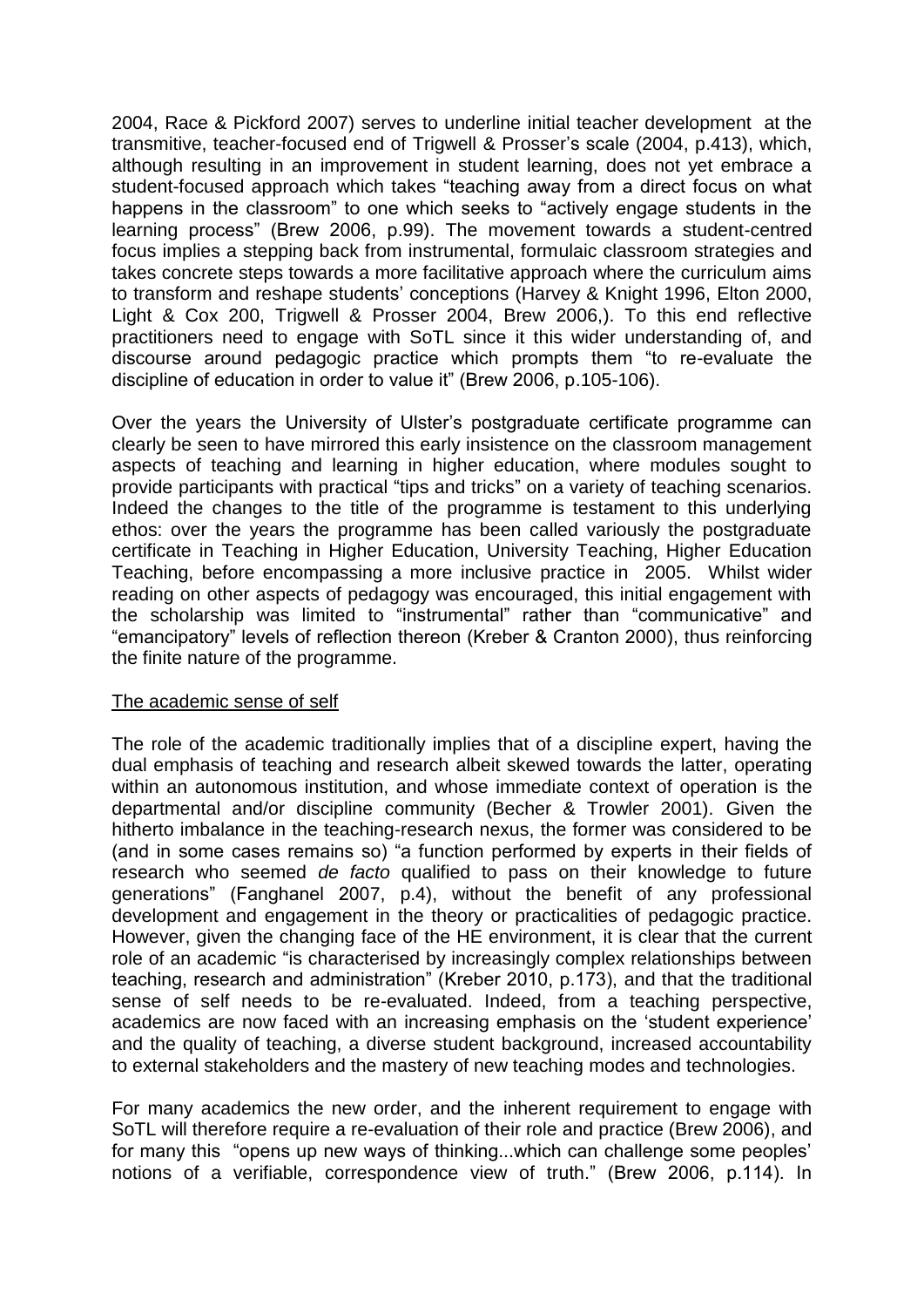2004, Race & Pickford 2007) serves to underline initial teacher development at the transmitive, teacher-focused end of Trigwell & Prosser's scale (2004, p.413), which, although resulting in an improvement in student learning, does not yet embrace a student-focused approach which takes "teaching away from a direct focus on what happens in the classroom" to one which seeks to "actively engage students in the learning process" (Brew 2006, p.99). The movement towards a student-centred focus implies a stepping back from instrumental, formulaic classroom strategies and takes concrete steps towards a more facilitative approach where the curriculum aims to transform and reshape students' conceptions (Harvey & Knight 1996, Elton 2000, Light & Cox 200, Trigwell & Prosser 2004, Brew 2006,). To this end reflective practitioners need to engage with SoTL since it this wider understanding of, and discourse around pedagogic practice which prompts them "to re-evaluate the discipline of education in order to value it" (Brew 2006, p.105-106).

Over the years the University of Ulster's postgraduate certificate programme can clearly be seen to have mirrored this early insistence on the classroom management aspects of teaching and learning in higher education, where modules sought to provide participants with practical "tips and tricks" on a variety of teaching scenarios. Indeed the changes to the title of the programme is testament to this underlying ethos: over the years the programme has been called variously the postgraduate certificate in Teaching in Higher Education, University Teaching, Higher Education Teaching, before encompassing a more inclusive practice in 2005. Whilst wider reading on other aspects of pedagogy was encouraged, this initial engagement with the scholarship was limited to "instrumental" rather than "communicative" and "emancipatory" levels of reflection thereon (Kreber & Cranton 2000), thus reinforcing the finite nature of the programme.

# The academic sense of self

The role of the academic traditionally implies that of a discipline expert, having the dual emphasis of teaching and research albeit skewed towards the latter, operating within an autonomous institution, and whose immediate context of operation is the departmental and/or discipline community (Becher & Trowler 2001). Given the hitherto imbalance in the teaching-research nexus, the former was considered to be (and in some cases remains so) "a function performed by experts in their fields of research who seemed *de facto* qualified to pass on their knowledge to future generations" (Fanghanel 2007, p.4), without the benefit of any professional development and engagement in the theory or practicalities of pedagogic practice. However, given the changing face of the HE environment, it is clear that the current role of an academic "is characterised by increasingly complex relationships between teaching, research and administration" (Kreber 2010, p.173), and that the traditional sense of self needs to be re-evaluated. Indeed, from a teaching perspective, academics are now faced with an increasing emphasis on the 'student experience' and the quality of teaching, a diverse student background, increased accountability to external stakeholders and the mastery of new teaching modes and technologies.

For many academics the new order, and the inherent requirement to engage with SoTL will therefore require a re-evaluation of their role and practice (Brew 2006), and for many this "opens up new ways of thinking...which can challenge some peoples' notions of a verifiable, correspondence view of truth." (Brew 2006, p.114). In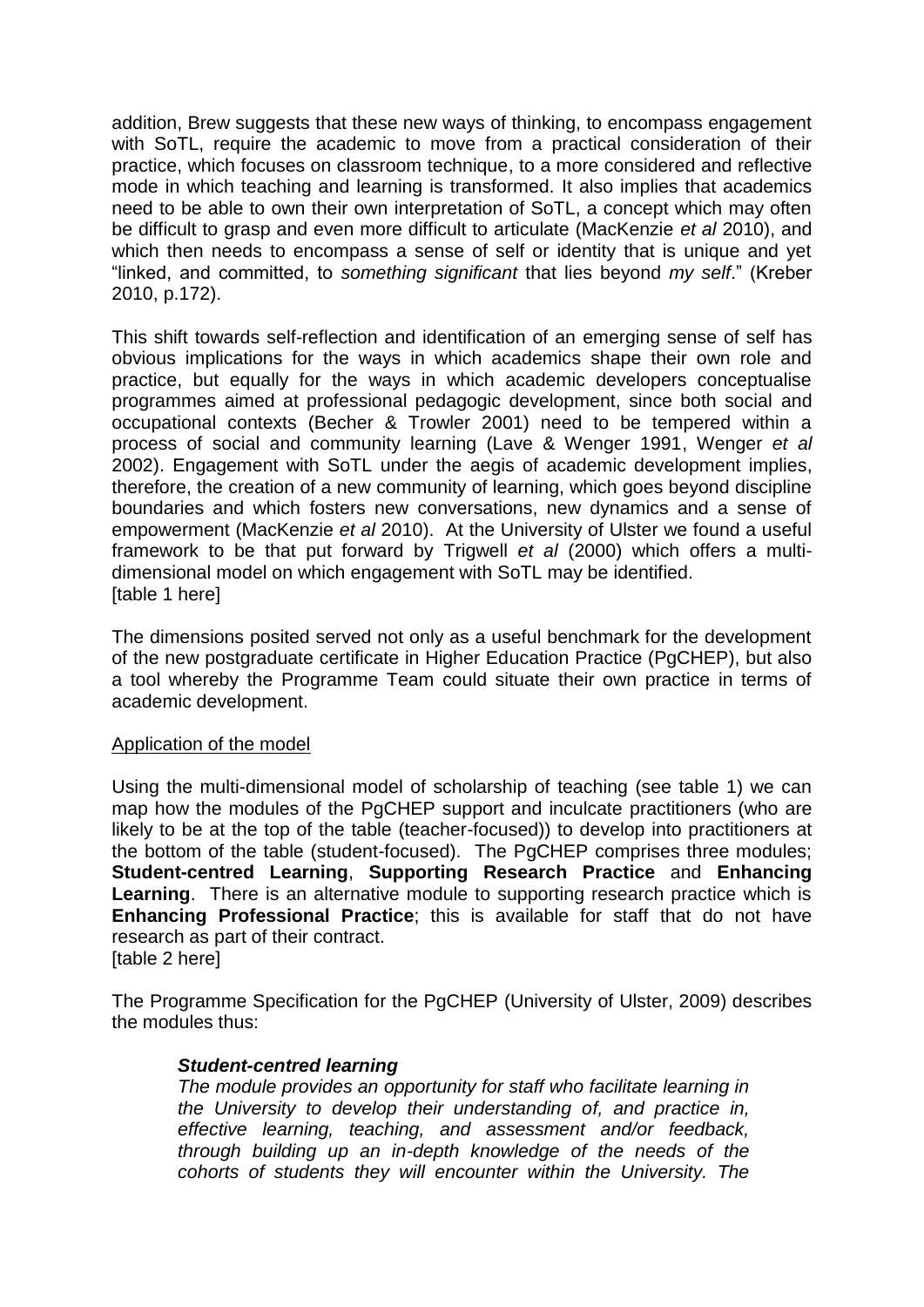addition, Brew suggests that these new ways of thinking, to encompass engagement with SoTL, require the academic to move from a practical consideration of their practice, which focuses on classroom technique, to a more considered and reflective mode in which teaching and learning is transformed. It also implies that academics need to be able to own their own interpretation of SoTL, a concept which may often be difficult to grasp and even more difficult to articulate (MacKenzie *et al* 2010), and which then needs to encompass a sense of self or identity that is unique and yet "linked, and committed, to *something significant* that lies beyond *my self*." (Kreber 2010, p.172).

This shift towards self-reflection and identification of an emerging sense of self has obvious implications for the ways in which academics shape their own role and practice, but equally for the ways in which academic developers conceptualise programmes aimed at professional pedagogic development, since both social and occupational contexts (Becher & Trowler 2001) need to be tempered within a process of social and community learning (Lave & Wenger 1991, Wenger *et al* 2002). Engagement with SoTL under the aegis of academic development implies, therefore, the creation of a new community of learning, which goes beyond discipline boundaries and which fosters new conversations, new dynamics and a sense of empowerment (MacKenzie *et al* 2010). At the University of Ulster we found a useful framework to be that put forward by Trigwell *et al* (2000) which offers a multidimensional model on which engagement with SoTL may be identified. [table 1 here]

The dimensions posited served not only as a useful benchmark for the development of the new postgraduate certificate in Higher Education Practice (PgCHEP), but also a tool whereby the Programme Team could situate their own practice in terms of academic development.

# Application of the model

Using the multi-dimensional model of scholarship of teaching (see table 1) we can map how the modules of the PgCHEP support and inculcate practitioners (who are likely to be at the top of the table (teacher-focused)) to develop into practitioners at the bottom of the table (student-focused). The PgCHEP comprises three modules; **Student-centred Learning**, **Supporting Research Practice** and **Enhancing Learning**. There is an alternative module to supporting research practice which is **Enhancing Professional Practice**; this is available for staff that do not have research as part of their contract. [table 2 here]

The Programme Specification for the PgCHEP (University of Ulster, 2009) describes the modules thus:

# *Student-centred learning*

*The module provides an opportunity for staff who facilitate learning in the University to develop their understanding of, and practice in, effective learning, teaching, and assessment and/or feedback, through building up an in-depth knowledge of the needs of the cohorts of students they will encounter within the University. The*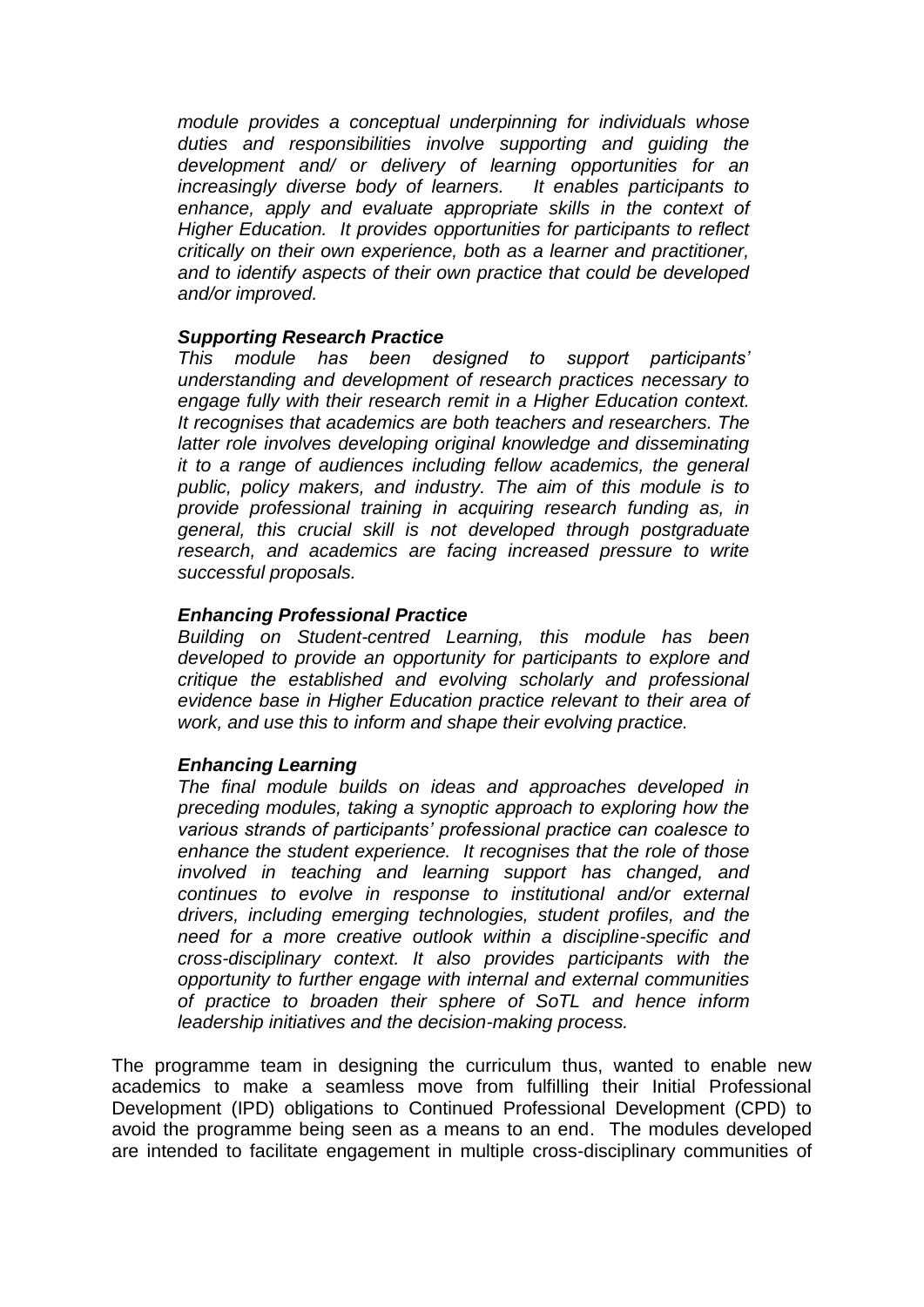*module provides a conceptual underpinning for individuals whose duties and responsibilities involve supporting and guiding the development and/ or delivery of learning opportunities for an increasingly diverse body of learners. It enables participants to*  enhance, apply and evaluate appropriate skills in the context of *Higher Education. It provides opportunities for participants to reflect critically on their own experience, both as a learner and practitioner, and to identify aspects of their own practice that could be developed and/or improved.* 

# *Supporting Research Practice*

*This module has been designed to support participants' understanding and development of research practices necessary to engage fully with their research remit in a Higher Education context. It recognises that academics are both teachers and researchers. The*  latter role involves developing original knowledge and disseminating *it to a range of audiences including fellow academics, the general public, policy makers, and industry. The aim of this module is to provide professional training in acquiring research funding as, in general, this crucial skill is not developed through postgraduate research, and academics are facing increased pressure to write successful proposals.*

#### *Enhancing Professional Practice*

*Building on Student-centred Learning, this module has been developed to provide an opportunity for participants to explore and critique the established and evolving scholarly and professional evidence base in Higher Education practice relevant to their area of work, and use this to inform and shape their evolving practice.*

#### *Enhancing Learning*

*The final module builds on ideas and approaches developed in preceding modules, taking a synoptic approach to exploring how the various strands of participants' professional practice can coalesce to enhance the student experience. It recognises that the role of those involved in teaching and learning support has changed, and continues to evolve in response to institutional and/or external drivers, including emerging technologies, student profiles, and the need for a more creative outlook within a discipline-specific and cross-disciplinary context. It also provides participants with the opportunity to further engage with internal and external communities of practice to broaden their sphere of SoTL and hence inform leadership initiatives and the decision-making process.* 

The programme team in designing the curriculum thus, wanted to enable new academics to make a seamless move from fulfilling their Initial Professional Development (IPD) obligations to Continued Professional Development (CPD) to avoid the programme being seen as a means to an end. The modules developed are intended to facilitate engagement in multiple cross-disciplinary communities of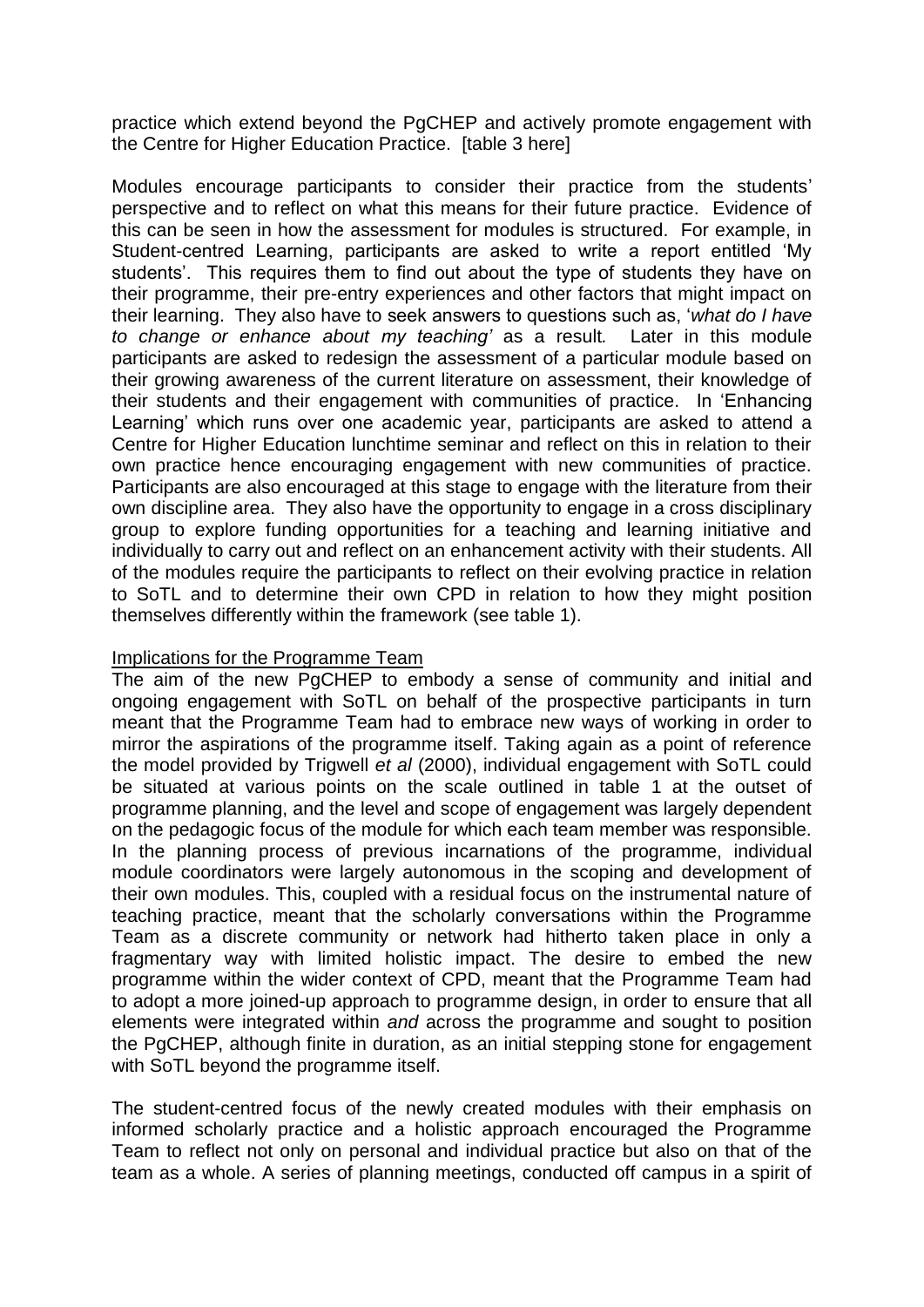practice which extend beyond the PgCHEP and actively promote engagement with the Centre for Higher Education Practice. [table 3 here]

Modules encourage participants to consider their practice from the students' perspective and to reflect on what this means for their future practice. Evidence of this can be seen in how the assessment for modules is structured. For example, in Student-centred Learning, participants are asked to write a report entitled 'My students'. This requires them to find out about the type of students they have on their programme, their pre-entry experiences and other factors that might impact on their learning. They also have to seek answers to questions such as, '*what do I have to change or enhance about my teaching'* as a result*.* Later in this module participants are asked to redesign the assessment of a particular module based on their growing awareness of the current literature on assessment, their knowledge of their students and their engagement with communities of practice. In 'Enhancing Learning' which runs over one academic year, participants are asked to attend a Centre for Higher Education lunchtime seminar and reflect on this in relation to their own practice hence encouraging engagement with new communities of practice. Participants are also encouraged at this stage to engage with the literature from their own discipline area. They also have the opportunity to engage in a cross disciplinary group to explore funding opportunities for a teaching and learning initiative and individually to carry out and reflect on an enhancement activity with their students. All of the modules require the participants to reflect on their evolving practice in relation to SoTL and to determine their own CPD in relation to how they might position themselves differently within the framework (see table 1).

#### Implications for the Programme Team

The aim of the new PgCHEP to embody a sense of community and initial and ongoing engagement with SoTL on behalf of the prospective participants in turn meant that the Programme Team had to embrace new ways of working in order to mirror the aspirations of the programme itself. Taking again as a point of reference the model provided by Trigwell *et al* (2000), individual engagement with SoTL could be situated at various points on the scale outlined in table 1 at the outset of programme planning, and the level and scope of engagement was largely dependent on the pedagogic focus of the module for which each team member was responsible. In the planning process of previous incarnations of the programme, individual module coordinators were largely autonomous in the scoping and development of their own modules. This, coupled with a residual focus on the instrumental nature of teaching practice, meant that the scholarly conversations within the Programme Team as a discrete community or network had hitherto taken place in only a fragmentary way with limited holistic impact. The desire to embed the new programme within the wider context of CPD, meant that the Programme Team had to adopt a more joined-up approach to programme design, in order to ensure that all elements were integrated within *and* across the programme and sought to position the PgCHEP, although finite in duration, as an initial stepping stone for engagement with SoTL beyond the programme itself.

The student-centred focus of the newly created modules with their emphasis on informed scholarly practice and a holistic approach encouraged the Programme Team to reflect not only on personal and individual practice but also on that of the team as a whole. A series of planning meetings, conducted off campus in a spirit of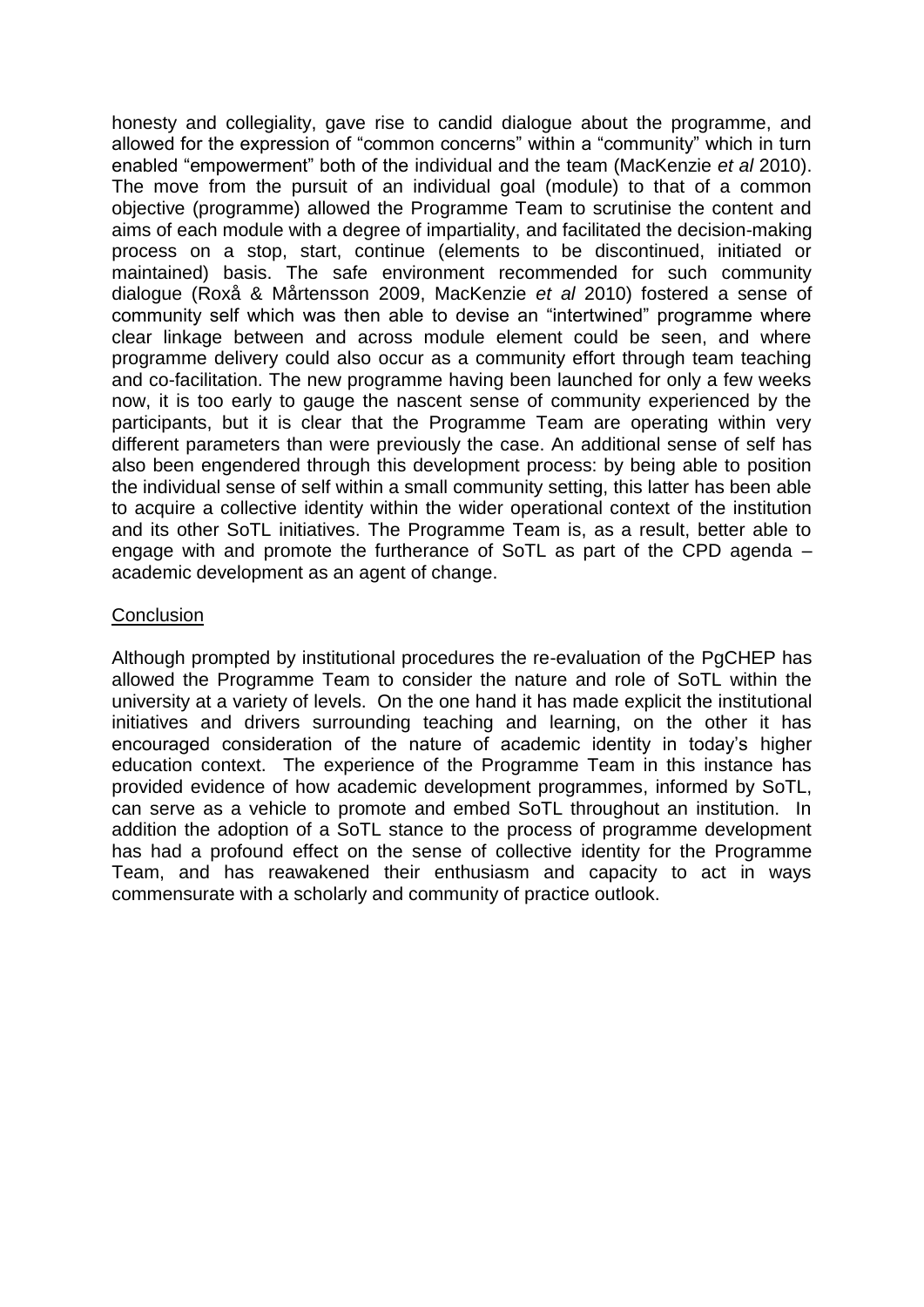honesty and collegiality, gave rise to candid dialogue about the programme, and allowed for the expression of "common concerns" within a "community" which in turn enabled "empowerment" both of the individual and the team (MacKenzie *et al* 2010). The move from the pursuit of an individual goal (module) to that of a common objective (programme) allowed the Programme Team to scrutinise the content and aims of each module with a degree of impartiality, and facilitated the decision-making process on a stop, start, continue (elements to be discontinued, initiated or maintained) basis. The safe environment recommended for such community dialogue (Roxå & Mårtensson 2009, MacKenzie *et al* 2010) fostered a sense of community self which was then able to devise an "intertwined" programme where clear linkage between and across module element could be seen, and where programme delivery could also occur as a community effort through team teaching and co-facilitation. The new programme having been launched for only a few weeks now, it is too early to gauge the nascent sense of community experienced by the participants, but it is clear that the Programme Team are operating within very different parameters than were previously the case. An additional sense of self has also been engendered through this development process: by being able to position the individual sense of self within a small community setting, this latter has been able to acquire a collective identity within the wider operational context of the institution and its other SoTL initiatives. The Programme Team is, as a result, better able to engage with and promote the furtherance of SoTL as part of the CPD agenda – academic development as an agent of change.

#### **Conclusion**

Although prompted by institutional procedures the re-evaluation of the PgCHEP has allowed the Programme Team to consider the nature and role of SoTL within the university at a variety of levels. On the one hand it has made explicit the institutional initiatives and drivers surrounding teaching and learning, on the other it has encouraged consideration of the nature of academic identity in today's higher education context. The experience of the Programme Team in this instance has provided evidence of how academic development programmes, informed by SoTL, can serve as a vehicle to promote and embed SoTL throughout an institution. In addition the adoption of a SoTL stance to the process of programme development has had a profound effect on the sense of collective identity for the Programme Team, and has reawakened their enthusiasm and capacity to act in ways commensurate with a scholarly and community of practice outlook.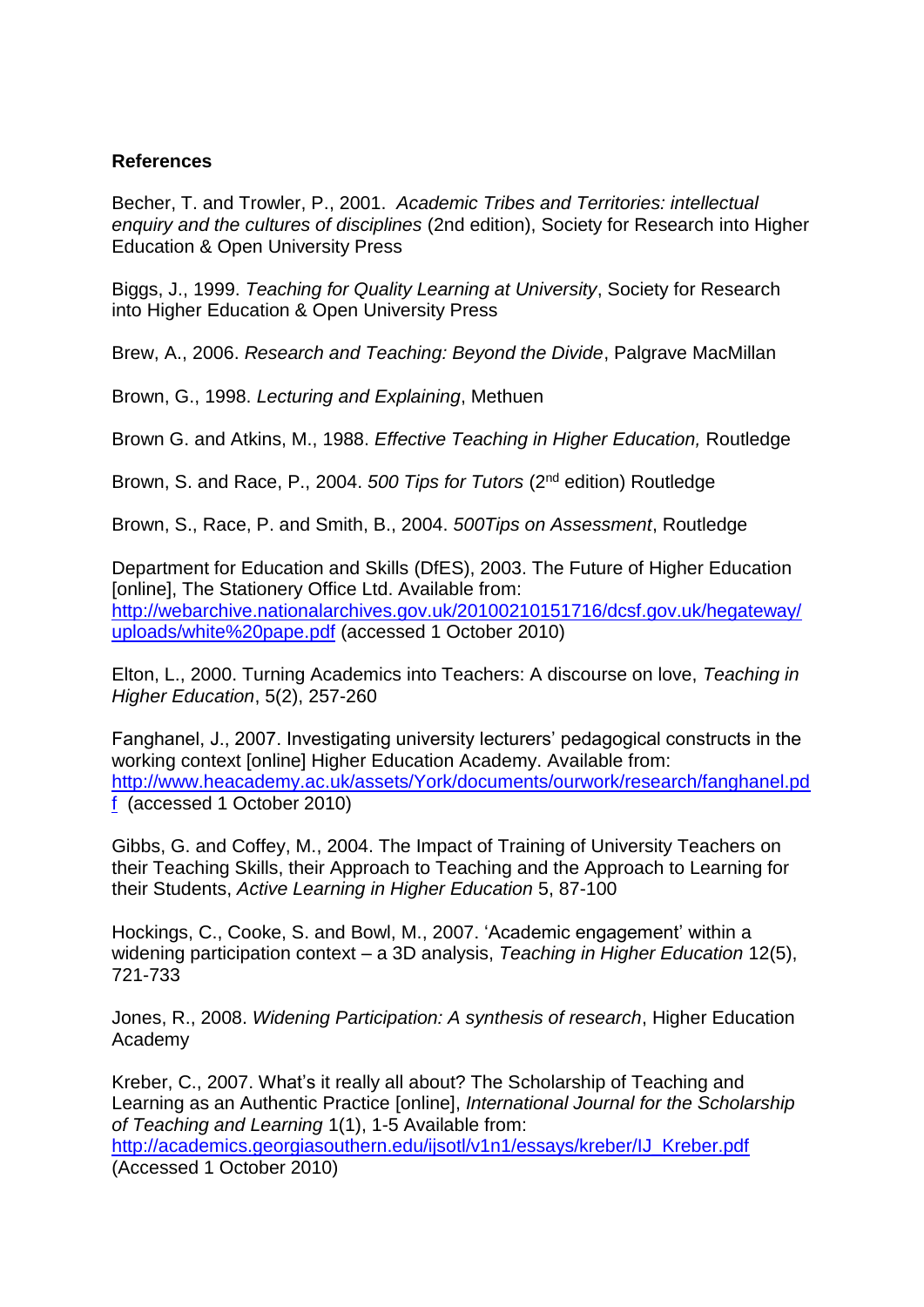# **References**

Becher, T. and Trowler, P., 2001. *Academic Tribes and Territories: intellectual enquiry and the cultures of disciplines* (2nd edition), Society for Research into Higher Education & Open University Press

Biggs, J., 1999. *Teaching for Quality Learning at University*, Society for Research into Higher Education & Open University Press

Brew, A., 2006. *Research and Teaching: Beyond the Divide*, Palgrave MacMillan

Brown, G., 1998. *Lecturing and Explaining*, Methuen

Brown G. and Atkins, M., 1988. *Effective Teaching in Higher Education,* Routledge

Brown, S. and Race, P., 2004. *500 Tips for Tutors* (2nd edition) Routledge

Brown, S., Race, P. and Smith, B., 2004. *500Tips on Assessment*, Routledge

Department for Education and Skills (DfES), 2003. The Future of Higher Education [online], The Stationery Office Ltd. Available from: [http://webarchive.nationalarchives.gov.uk/20100210151716/dcsf.gov.uk/hegateway/](http://webarchive.nationalarchives.gov.uk/20100210151716/dcsf.gov.uk/hegateway/uploads/white%20pape.pdf) [uploads/white%20pape.pdf](http://webarchive.nationalarchives.gov.uk/20100210151716/dcsf.gov.uk/hegateway/uploads/white%20pape.pdf) (accessed 1 October 2010)

Elton, L., 2000. Turning Academics into Teachers: A discourse on love, *Teaching in Higher Education*, 5(2), 257-260

Fanghanel, J., 2007. Investigating university lecturers' pedagogical constructs in the working context [online] Higher Education Academy. Available from: [http://www.heacademy.ac.uk/assets/York/documents/ourwork/research/fanghanel.pd](http://www.heacademy.ac.uk/assets/York/documents/ourwork/research/fanghanel.pdf) [f](http://www.heacademy.ac.uk/assets/York/documents/ourwork/research/fanghanel.pdf) (accessed 1 October 2010)

Gibbs, G. and Coffey, M., 2004. The Impact of Training of University Teachers on their Teaching Skills, their Approach to Teaching and the Approach to Learning for their Students, *Active Learning in Higher Education* 5, 87-100

Hockings, C., Cooke, S. and Bowl, M., 2007. 'Academic engagement' within a widening participation context – a 3D analysis, *Teaching in Higher Education* 12(5), 721-733

Jones, R., 2008. *Widening Participation: A synthesis of research*, Higher Education Academy

Kreber, C., 2007. What's it really all about? The Scholarship of Teaching and Learning as an Authentic Practice [online], *International Journal for the Scholarship of Teaching and Learning* 1(1), 1-5 Available from:

[http://academics.georgiasouthern.edu/ijsotl/v1n1/essays/kreber/IJ\\_Kreber.pdf](http://academics.georgiasouthern.edu/ijsotl/v1n1/essays/kreber/IJ_Kreber.pdf) (Accessed 1 October 2010)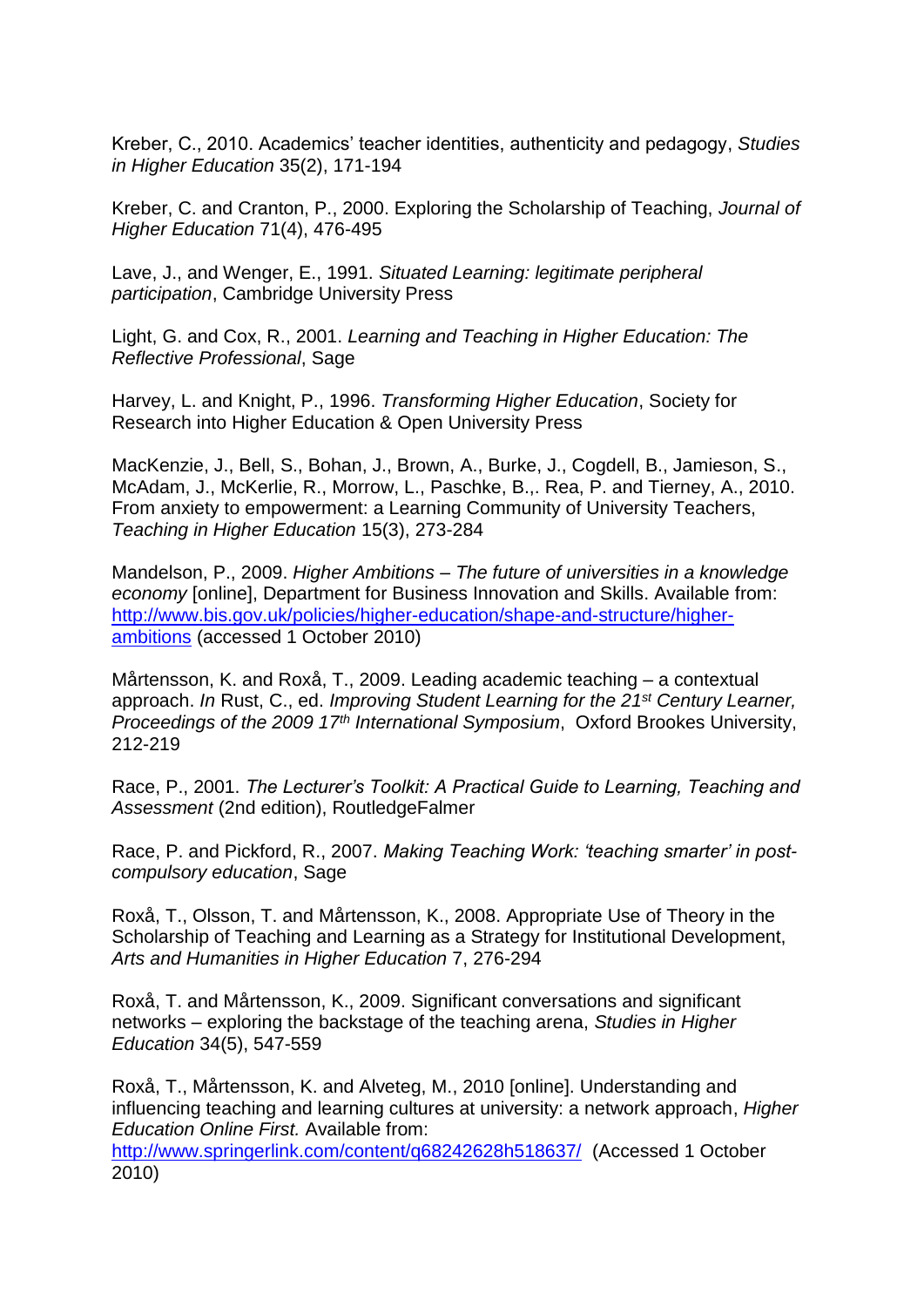Kreber, C., 2010. Academics' teacher identities, authenticity and pedagogy, *Studies in Higher Education* 35(2), 171-194

Kreber, C. and Cranton, P., 2000. Exploring the Scholarship of Teaching, *Journal of Higher Education* 71(4), 476-495

Lave, J., and Wenger, E., 1991. *Situated Learning: legitimate peripheral participation*, Cambridge University Press

Light, G. and Cox, R., 2001. *Learning and Teaching in Higher Education: The Reflective Professional*, Sage

Harvey, L. and Knight, P., 1996. *Transforming Higher Education*, Society for Research into Higher Education & Open University Press

MacKenzie, J., Bell, S., Bohan, J., Brown, A., Burke, J., Cogdell, B., Jamieson, S., McAdam, J., McKerlie, R., Morrow, L., Paschke, B.,. Rea, P. and Tierney, A., 2010. From anxiety to empowerment: a Learning Community of University Teachers, *Teaching in Higher Education* 15(3), 273-284

Mandelson, P., 2009. *Higher Ambitions – The future of universities in a knowledge economy* [online], Department for Business Innovation and Skills. Available from: [http://www.bis.gov.uk/policies/higher-education/shape-and-structure/higher](http://www.bis.gov.uk/policies/higher-education/shape-and-structure/higher-ambitions)[ambitions](http://www.bis.gov.uk/policies/higher-education/shape-and-structure/higher-ambitions) (accessed 1 October 2010)

Mårtensson, K. and Roxå, T., 2009. Leading academic teaching – a contextual approach. *In* Rust, C., ed. *Improving Student Learning for the 21st Century Learner, Proceedings of the 2009 17th International Symposium*, Oxford Brookes University, 212-219

Race, P., 2001. *The Lecturer's Toolkit: A Practical Guide to Learning, Teaching and Assessment* (2nd edition), RoutledgeFalmer

Race, P. and Pickford, R., 2007. *Making Teaching Work: 'teaching smarter' in postcompulsory education*, Sage

Roxå, T., Olsson, T. and Mårtensson, K., 2008. Appropriate Use of Theory in the Scholarship of Teaching and Learning as a Strategy for Institutional Development, *Arts and Humanities in Higher Education* 7, 276-294

Roxå, T. and Mårtensson, K., 2009. Significant conversations and significant networks – exploring the backstage of the teaching arena, *Studies in Higher Education* 34(5), 547-559

Roxå, T., Mårtensson, K. and Alveteg, M., 2010 [online]. Understanding and influencing teaching and learning cultures at university: a network approach, *Higher Education Online First.* Available from:

<http://www.springerlink.com/content/q68242628h518637/> (Accessed 1 October 2010)